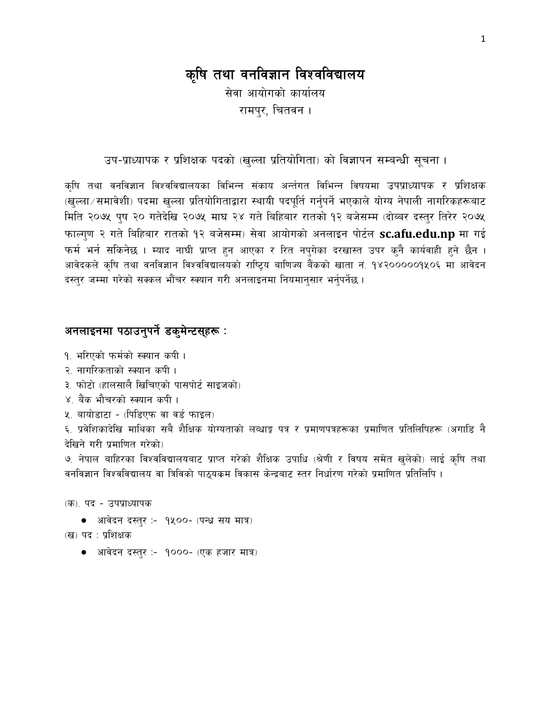# कृषि तथा वनविज्ञान विश्वविद्यालय

सेवा आयोगको कार्यालय रामपर, चितवन ।

उप-प्राध्यापक र प्रशिक्षक पदको (खुल्ला प्रतियोगिता) को विज्ञापन सम्बन्धी सूचना ।

कृषि तथा वनविज्ञान विश्वविद्यालयका विभिन्न संकाय अर्न्तगत विभिन्न विषयमा उपप्राध्यापक र प्रशिक्षक (खुल्ला / समावेशी) पदमा खुल्ला प्रतियोगिताद्वारा स्थायी पदपूर्ति गर्नुपर्ने भएकाले योग्य नेपाली नागरिकहरूबाट मिति २०७५ पुष २० गतेदेखि २०७५ माघ २४ गते बिहिबार रातको १२ बजेसम्म (दोब्बर दस्तुर तिरेर २०७५ फाल्ग्ण २ गते बिहिबार रातको १२ बजेसम्म) सेवा आयोगको अनलाइन पोर्टल sc.afu.edu.np मा गई फर्म भर्न सकिनेछ । म्याद नाघी प्राप्त हुन आएका र रित नपुगेका दरखास्त उपर कुनै कार्यवाही हुने छैन । आवेदकले कृषि तथा वनविज्ञान विश्वविद्यालयको राष्ट्रिय बाणिज्य बैंकको खाता नं. १४२०००००१५०६ मा आवेदन दस्तुर जम्मा गरेको सक्कल भौंचर स्क्यान गरी अनलाइनमा नियमानुसार भर्नुपर्नेछ ।

### अनलाइनमा पठाउनुपर्ने डकुमेन्टसुहरू :

- १. भरिएको फर्मको स्क्यान कपी।
- २. नागरिकताको स्क्यान कपी ।
- ३. फोटो (हालसालै खिचिएको पासपोर्ट साइजको)
- ४. बैंक भौचरको स्क्यान कपी।
- ५. बायोडाटा (पिडिएफ वा वर्ड फाइल)

६. प्रवेशिकादेखि माथिका सबै शैक्षिक योग्यताको लब्धाङ्क पत्र र प्रमाणपत्रहरूका प्रमाणित प्रतिलिपिहरू (अगाडि नै देखिने गरी प्रमाणित गरेको)

७. नेपाल बाहिरका विश्वविद्यालयबाट प्राप्त गरेको शैक्षिक उपाधि (श्रेणी र विषय समेत खुलेको) लाई कृषि तथा वनविज्ञान विश्वविद्यालय वा त्रिविको पाठुयकम विकास केन्द्रबाट स्तर निर्धारण गरेको प्रमाणित प्रतिलिपि ।

(क). पद - उपप्राध्यापक

- आवेदन दस्तुर :- १५००- (पन्ध्र सय मात्र)
- (ख) पद : प्रशिक्षक
	- आवेदन दस्तुर :- 9000- (एक हजार मात्र)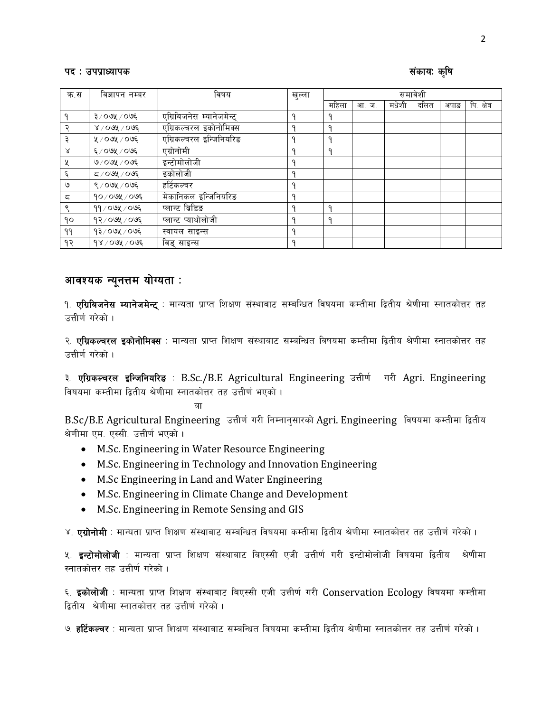#### पद: उपप्राध्यापक

#### संकाय: कृषि

| क.स | विज्ञापन नम्बर         | विषय                      | खुल्ला  | समावेशी |      |       |      |      |             |
|-----|------------------------|---------------------------|---------|---------|------|-------|------|------|-------------|
|     |                        |                           |         | महिला   | आ.ज. | मधेशी | दलित | अपाङ | पि. क्षेत्र |
|     | ३/०७५/०७६              | एग्रिबिजनेस म्यानेजमेन्ट् | O       |         |      |       |      |      |             |
|     | $8/00\%$ / 0 $0\%$     | एग्रिकल्चरल इकोनोमिक्स    | a       | a       |      |       |      |      |             |
|     | ५/०७५/०७६              | एग्रिकल्चरल इन्जिनियरिङ   | Ω       | a       |      |       |      |      |             |
| γ   | $\epsilon$ ⁄ ০७५ ⁄ ০७६ | एग्रोनोमी                 |         | q       |      |       |      |      |             |
| X   | $0/00$ अू $/00$ ६      | इन्टोमोलोजी               |         |         |      |       |      |      |             |
| ६   | $500\%$ / $\sim$       | इकोलोजी                   | a       |         |      |       |      |      |             |
| ৩   | ९/०७५/०७६              | हर्टिकल्चर                | o       |         |      |       |      |      |             |
| ς   | $90/09$ ४ / ०७६        | मेकानिकल इन्जिनियरिङ      | O       |         |      |       |      |      |             |
| ९   | $99/09$ ४ / ०७६        | प्लान्ट ब्रिडिङ           | $\circ$ | q       |      |       |      |      |             |
| 90  | १२/०७५/०७६             | प्लान्ट प्याथोलोजी        | Ω       | q       |      |       |      |      |             |
| 99  | १३/०७५/०७६             | स्वायल साइन्स             | O       |         |      |       |      |      |             |
| १२  | $98/00$ y $100$        | विड् साइन्स               |         |         |      |       |      |      |             |

## आवश्यक न्यूनत्तम योग्यता:

१. **एग्रिबिजनेस म्यानेजमेन्ट्** : मान्यता प्राप्त शिक्षण संस्थाबाट सम्बन्धित विषयमा कम्तीमा द्वितीय श्रेणीमा स्नातकोत्तर तह उत्तीर्ण गरेको ।

२. **एग्रिकल्चरल इकोनोमिक्स** : मान्यता प्राप्त शिक्षण संस्थाबाट सम्बन्धित विषयमा कम्तीमा द्वितीय श्रेणीमा स्नातकोत्तर तह उत्तीर्ण गरेको ।

३. एग्रिकल्वरल इन्जिनियरिड : B.Sc./B.E Agricultural Engineering उत्तीर्ण गरी Agri. Engineering विषयमा कम्तीमा द्वितीय श्रेणीमा स्नातकोत्तर तह उत्तीर्ण भएको ।

ਗ

B.Sc/B.E Agricultural Engineering उत्तीर्ण गरी निम्नान्सारको Agri. Engineering विषयमा कम्तीमा द्वितीय श्रेणीमा एम. एस्सी. उत्तीर्ण भएको ।

- M.Sc. Engineering in Water Resource Engineering
- M.Sc. Engineering in Technology and Innovation Engineering
- M.Sc Engineering in Land and Water Engineering
- M.Sc. Engineering in Climate Change and Development
- M.Sc. Engineering in Remote Sensing and GIS

४. **एग्रोनोमी** : मान्यता प्राप्त शिक्षण संस्थाबाट सम्बन्धित विषयमा कम्तीमा द्वितीय श्रेणीमा स्नातकोत्तर तह उत्तीर्ण गरेको ।

५. **इन्टोमोलोजी** : मान्यता प्राप्त शिक्षण संस्थाबाट बिएस्सी एजी उत्तीर्ण गरी इन्टोमोलोजी विषयमा द्वितीय श्रेणीमा स्नातकोत्तर तह उत्तीर्ण गरेको ।

६. **इकोलोजी**ः मान्यता प्राप्त शिक्षण संस्थाबाट बिएस्सी एजी उत्तीर्ण गरी Conservation Ecology विषयमा कम्तीमा दितीय श्रेणीमा स्नातकोत्तर तह उत्तीर्ण गरेको ।

७. **हर्टिकल्वर** : मान्यता प्राप्त शिक्षण संस्थाबाट सम्बन्धित विषयमा कम्तीमा द्वितीय श्रेणीमा स्नातकोत्तर तह उत्तीर्ण गरेको ।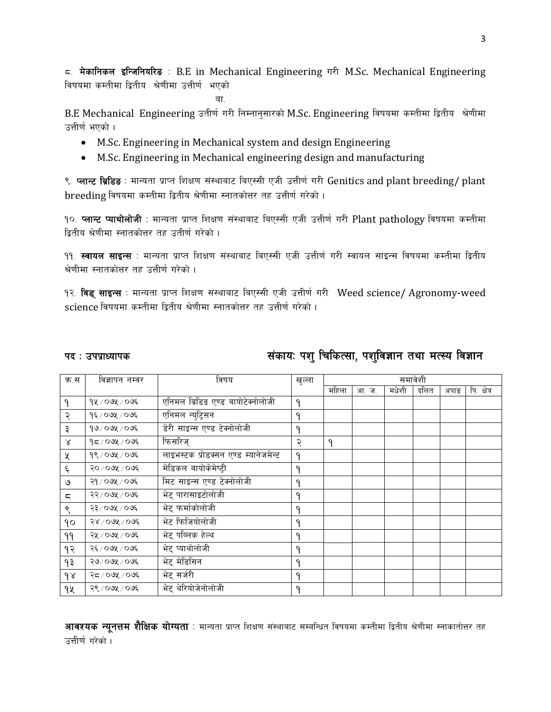$\epsilon$ . मेकानिकल इन्जिनियरिड: B.E in Mechanical Engineering गरी M.Sc. Mechanical Engineering विषयमा कम्तीमा द्वितीय श्रेणीमा उत्तीर्ण भएको

 $\overline{a}$  , and the contract of  $\overline{a}$  , and  $\overline{a}$ 

B.E Mechanical Engineering उतीर्ण गरी निम्नानुसारको M.Sc. Engineering विषयमा कम्तीमा द्वितीय श्रेणीमा उत्तीर्ण भएको ।

- M.Sc. Engineering in Mechanical system and design Engineering
- M.Sc. Engineering in Mechanical engineering design and manufacturing

९. प्लान्ट ब्रिडिड : मान्यता प्राप्त शिक्षण संस्थाबाट बिएस्सी एजी उत्तीर्ण गरी Genitics and plant breeding/ plant breeding विषयमा कम्तीमा द्वितीय श्रेणीमा स्नातकोत्तर तह उत्तीर्ण गरेको ।

१०. प्लान्ट प्याथोलोजी : मान्यता प्राप्त शिक्षण संस्थाबाट बिएस्सी एजी उत्तीर्ण गरी Plant pathology विषयमा कम्तीमा द्वितीय श्रेणीमा स्नातकोत्तर तह उतीर्ण गरेको ।

११. **स्वायल साइन्स** : मान्यता प्राप्त शिक्षण संस्थाबाट बिएस्सी एजी उत्तीर्ण गरी स्वायल साइन्स विषयमा कम्तीमा द्वितीय श्रेणीमा स्नातकोत्तर तह उत्तीर्ण गरेको ।

१२. विड् साइन्स : मान्यता प्राप्त शिक्षण संस्थाबाट बिएस्सी एजी उत्तीर्ण गरी Weed science/ Agronomy-weed science विषयमा कम्तीमा द्वितीय श्रेणीमा स्नातकोत्तर तह उत्तीर्ण गरेको ।

## kb M pkk|fWofks ;+sfoM kz' lrlsT;f, kz'lj1fg tyf dT:o lj1fg

| क.स      | विज्ञापन नम्वर   | विषय                                 | खुल्ला | समावेशी |      |       |      |      |             |
|----------|------------------|--------------------------------------|--------|---------|------|-------|------|------|-------------|
|          |                  |                                      |        | महिला   | आ.ज. | मधेशी | दलित | अपाङ | पि. क्षेत्र |
| ۹        | १५ ⁄ ०७५ ⁄ ०७६   | एनिमल ब्रिडिड एण्ड बायोटेक्नोलोजी    | ۹      |         |      |       |      |      |             |
| २        | १६/०७५/०७६       | एनिमल न्युट्रिसन                     | ۹      |         |      |       |      |      |             |
| ३        | $90$ / ०७५ / ०७६ | डेरी साइन्स एण्ड टेक्नोलोजी          | ۹      |         |      |       |      |      |             |
| Χ        | $95/09$ ४/०७६    | फिसरिज्                              | २      | ٩       |      |       |      |      |             |
| χ        | १९/०७५/०७६       | लाइभस्टक प्रोडक्सन एण्ड म्यानेजमेन्ट | ۹      |         |      |       |      |      |             |
| ६        | २०/०७५/०७६       | मेडिकल बायोकेमेष्टी                  | ۹      |         |      |       |      |      |             |
| ও        | २१ / ०७५ / ०७६   | मिट साइन्स एण्ड टेक्नोलोजी           | ۹      |         |      |       |      |      |             |
| ς        | २२/०७५/०७६       | भेट् पारासाइटोलोजी                   | ۹      |         |      |       |      |      |             |
| ९        | २३/०७५/०७६       | भेट् फर्माकोलोजी                     | ۹      |         |      |       |      |      |             |
| ٩o       | २४ / ०७५ / ०७६   | भेट फिजियोलोजी                       | ۹      |         |      |       |      |      |             |
| ۹۹       | २५ / ०७५ / ०७६   | भेट् पब्लिक हेल्थ                    | ۹      |         |      |       |      |      |             |
| १२       | २६ / ०७५ / ०७६   | भेट् प्याथोलोजी                      | ٩      |         |      |       |      |      |             |
| ۹३       | २७/०७५/०७६       | भेट् मेडिसिन                         | ۹      |         |      |       |      |      |             |
| $\delta$ | २८/०७५/०७६       | भेट् सर्जरी                          | ۹      |         |      |       |      |      |             |
| 9X       | २९ / ०७५ / ०७६   | भेट् थेरियोजेनोलोजी                  | ۹      |         |      |       |      |      |             |

**आवश्यक न्यूनत्तम शैक्षिक योग्यता** : मान्यता प्राप्त शिक्षण संस्थाबाट सम्बन्धित विषयमा कम्तीमा द्वितीय श्रेणीमा स्नाकातोत्तर तह उत्तीर्ण गरेको ।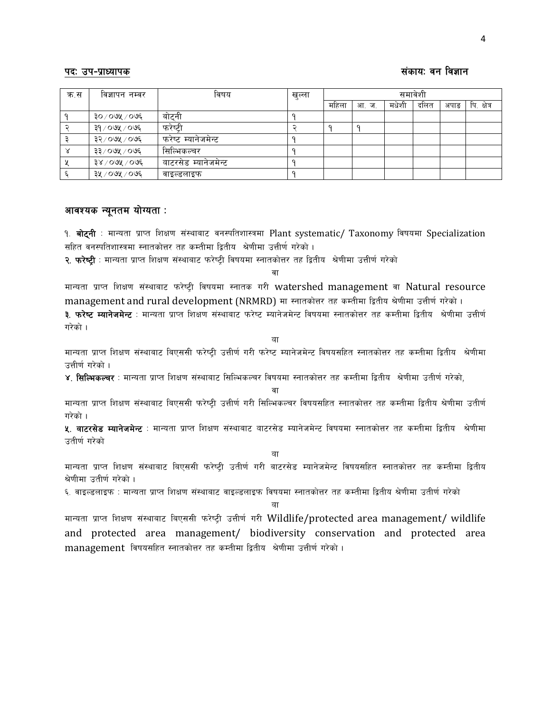### kbm pk–k|fwd=k|fwd=k|fwd=k|fwd=k|fwd=k|fwd=k|fwd=k|fwd=k|fwd=k|fwd=k|fwd=k|fwd=k|fwd=k|fwd=k|fwd=k|fwd=k|fwd=k

| क.स | विज्ञापन नम्वर     | विषय                 | खुल्ला | समावेशी |      |       |      |      |             |  |
|-----|--------------------|----------------------|--------|---------|------|-------|------|------|-------------|--|
|     |                    |                      |        | महिला   | आ.ज. | मधेशी | दलित | अपाङ | पि. क्षेत्र |  |
|     | ३०/०७५/०७६         | बोटनी                |        |         |      |       |      |      |             |  |
|     | ३१ / ०७५ / ०७६     | फरेष्टी              |        |         |      |       |      |      |             |  |
|     | ३२/०७५/०७६         | फरेष्ट म्यानेजमेन्ट  |        |         |      |       |      |      |             |  |
|     | ३३/०७५/०७६         | सिल्मिकल्चर          |        |         |      |       |      |      |             |  |
|     | $38/00$ ७५ / ०७६   | वाटरसेड म्यानेजमेन्ट |        |         |      |       |      |      |             |  |
|     | ३५ $/$ ०७५ $/$ ०७६ | वाइल्डलाइफ           |        |         |      |       |      |      |             |  |

### आवश्यक न्यूनतम योग्यता:

१. बोट्नी : मान्यता प्राप्त शिक्षण संस्थाबाट वनस्पतिशास्त्रमा Plant systematic/ Taxonomy विषयमा Specialization सहित वनस्पतिशास्त्रमा स्नातकोत्तर तह कम्तीमा द्वितीय श्रेणीमा उत्तीर्ण गरेको ।

<mark>२. फरेष्टी</mark> : मान्यता प्राप्त शिक्षण संस्थाबाट फरेष्टी विषयमा स्नातकोत्तर तह द्वितीय श्रेणीमा उत्तीर्ण गरेको

वा

मान्यता प्राप्त शिक्षण संस्थाबाट फरेप्टी विषयमा स्नातक गरी watershed management वा Natural resource management and rural development (NRMRD) मा स्नातकोत्तर तह कम्तीमा द्वितीय श्रेणीमा उत्तीर्ण गरेको । <mark>३. फरेष्ट म्यानेजमेन्ट</mark> : मान्यता प्राप्त शिक्षण संस्थाबाट फरेष्ट म्यानेजमेन्ट विषयमा स्नातकोत्तर तह कम्तीमा द्वितीय श्रेणीमा उत्तीर्ण

गरेको $\perp$ 

वा

मान्यता प्राप्त शिक्षण संस्थाबाट बिएससी फरेष्टी उत्तीर्ण गरी फरेष्ट म्यानेजमेन्ट विषयसहित स्नातकोत्तर तह कम्तीमा द्वितीय श्रेणीमा उत्तीर्ण गरेको ।

 $\,$ ४) सिल्भिकल्चर : मान्यता पाप्त शिक्षण संस्थाबाट सिल्भिकल्चर विषयमा स्नातकोत्तर तह कम्तीमा दितीय श्रेणीमा उतीर्ण गरेको

वा

मान्यता प्राप्त शिक्षण संस्थाबाट बिएससी फरेष्टी उत्तीर्ण गरी सिल्भिकल्चर विषयसहित स्नातकोत्तर तह कम्तीमा द्वितीय श्रेणीमा उतीर्ण गरेको ।

**४. वाटरसेड म्यानेजमेन्ट** : मान्यता प्राप्त शिक्षण संस्थाबाट वाटरसेड म्यानेजमेन्ट विषयमा स्नातकोत्तर तह कम्तीमा द्वितीय श्रेणीमा उतीर्ण गरेको

वा

मान्यता प्राप्त शिक्षण संस्थाबाट बिएससी फरेप्टी उतीर्ण गरी बाटरसेड म्यानेजमेन्ट विषयसहित स्नातकोत्तर तह कम्तीमा द्वितीय श्रेणीमा उतीर्ण गरेको ।

६. वाइल्डलाइफ : मान्यता प्राप्त शिक्षण संस्थाबाट वाइल्डलाइफ विषयमा स्नातकोत्तर तह कम्तीमा द्वितीय श्रेणीमा उतीर्ण गरेको

 $\overline{a}$ 

मान्यता प्राप्त शिक्षण संस्थाबाट बिएससी फरेष्ट्री उत्तीर्ण गरी Wildlife/protected area management/ wildlife and protected area management/ biodiversity conservation and protected area management विषयसहित स्नातकोत्तर तह कम्तीमा द्वितीय श्रेणीमा उत्तीर्ण गरेको ।